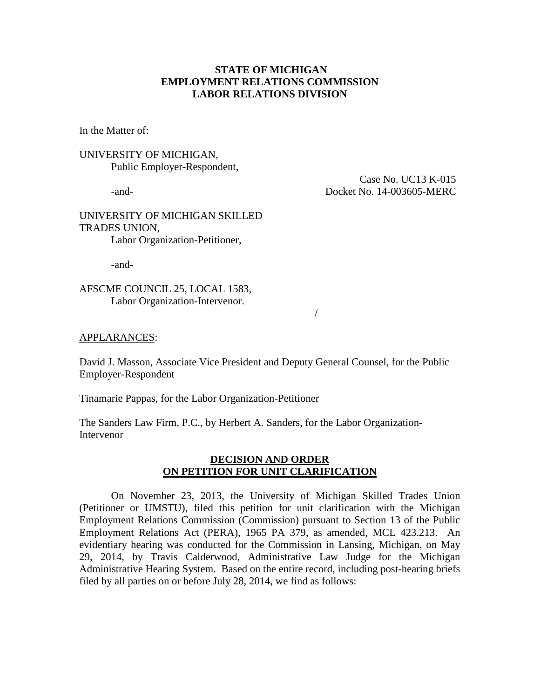## **STATE OF MICHIGAN EMPLOYMENT RELATIONS COMMISSION LABOR RELATIONS DIVISION**

In the Matter of:

## UNIVERSITY OF MICHIGAN, Public Employer-Respondent,

 Case No. UC13 K-015 -and- Docket No. 14-003605-MERC

## UNIVERSITY OF MICHIGAN SKILLED TRADES UNION, Labor Organization-Petitioner,

-and-

AFSCME COUNCIL 25, LOCAL 1583, Labor Organization-Intervenor.

### APPEARANCES:

David J. Masson, Associate Vice President and Deputy General Counsel, for the Public Employer-Respondent

Tinamarie Pappas, for the Labor Organization-Petitioner

<u>/</u>

The Sanders Law Firm, P.C., by Herbert A. Sanders, for the Labor Organization-Intervenor

## **DECISION AND ORDER ON PETITION FOR UNIT CLARIFICATION**

On November 23, 2013, the University of Michigan Skilled Trades Union (Petitioner or UMSTU), filed this petition for unit clarification with the Michigan Employment Relations Commission (Commission) pursuant to Section 13 of the Public Employment Relations Act (PERA), 1965 PA 379, as amended, MCL 423.213. An evidentiary hearing was conducted for the Commission in Lansing, Michigan, on May 29, 2014, by Travis Calderwood, Administrative Law Judge for the Michigan Administrative Hearing System. Based on the entire record, including post-hearing briefs filed by all parties on or before July 28, 2014, we find as follows: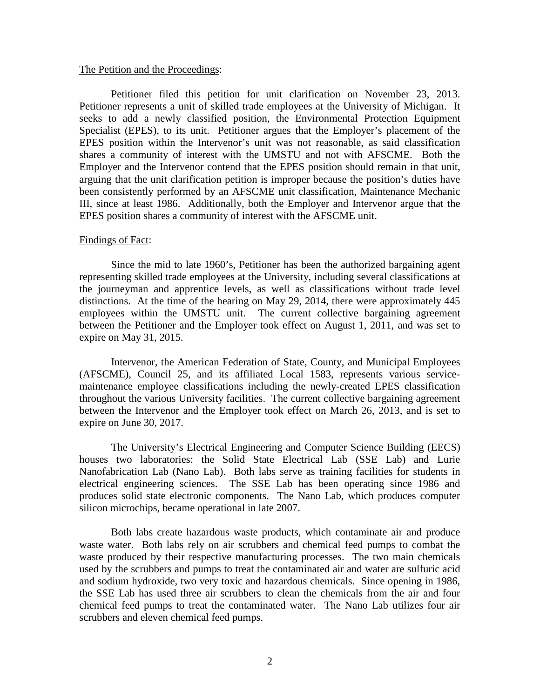#### The Petition and the Proceedings:

Petitioner filed this petition for unit clarification on November 23, 2013. Petitioner represents a unit of skilled trade employees at the University of Michigan. It seeks to add a newly classified position, the Environmental Protection Equipment Specialist (EPES), to its unit. Petitioner argues that the Employer's placement of the EPES position within the Intervenor's unit was not reasonable, as said classification shares a community of interest with the UMSTU and not with AFSCME. Both the Employer and the Intervenor contend that the EPES position should remain in that unit, arguing that the unit clarification petition is improper because the position's duties have been consistently performed by an AFSCME unit classification, Maintenance Mechanic III, since at least 1986. Additionally, both the Employer and Intervenor argue that the EPES position shares a community of interest with the AFSCME unit.

### Findings of Fact:

Since the mid to late 1960's, Petitioner has been the authorized bargaining agent representing skilled trade employees at the University, including several classifications at the journeyman and apprentice levels, as well as classifications without trade level distinctions. At the time of the hearing on May 29, 2014, there were approximately 445 employees within the UMSTU unit. The current collective bargaining agreement between the Petitioner and the Employer took effect on August 1, 2011, and was set to expire on May 31, 2015.

Intervenor, the American Federation of State, County, and Municipal Employees (AFSCME), Council 25, and its affiliated Local 1583, represents various servicemaintenance employee classifications including the newly-created EPES classification throughout the various University facilities. The current collective bargaining agreement between the Intervenor and the Employer took effect on March 26, 2013, and is set to expire on June 30, 2017.

The University's Electrical Engineering and Computer Science Building (EECS) houses two laboratories: the Solid State Electrical Lab (SSE Lab) and Lurie Nanofabrication Lab (Nano Lab). Both labs serve as training facilities for students in electrical engineering sciences. The SSE Lab has been operating since 1986 and produces solid state electronic components. The Nano Lab, which produces computer silicon microchips, became operational in late 2007.

Both labs create hazardous waste products, which contaminate air and produce waste water. Both labs rely on air scrubbers and chemical feed pumps to combat the waste produced by their respective manufacturing processes. The two main chemicals used by the scrubbers and pumps to treat the contaminated air and water are sulfuric acid and sodium hydroxide, two very toxic and hazardous chemicals. Since opening in 1986, the SSE Lab has used three air scrubbers to clean the chemicals from the air and four chemical feed pumps to treat the contaminated water. The Nano Lab utilizes four air scrubbers and eleven chemical feed pumps.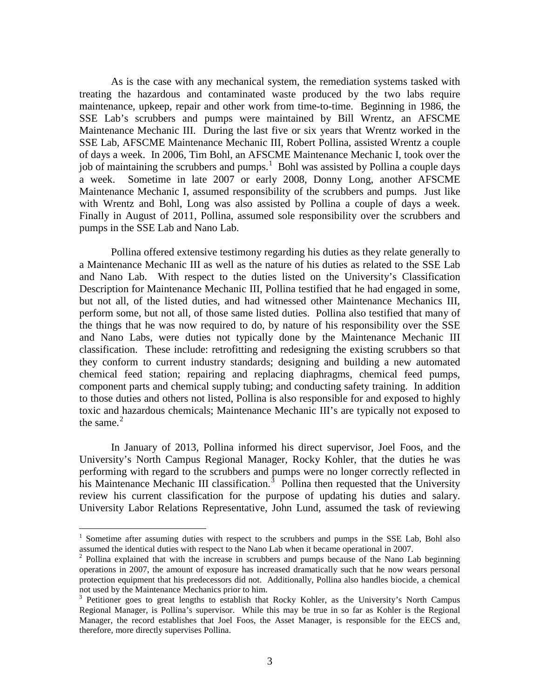As is the case with any mechanical system, the remediation systems tasked with treating the hazardous and contaminated waste produced by the two labs require maintenance, upkeep, repair and other work from time-to-time. Beginning in 1986, the SSE Lab's scrubbers and pumps were maintained by Bill Wrentz, an AFSCME Maintenance Mechanic III. During the last five or six years that Wrentz worked in the SSE Lab, AFSCME Maintenance Mechanic III, Robert Pollina, assisted Wrentz a couple of days a week. In 2006, Tim Bohl, an AFSCME Maintenance Mechanic I, took over the job of maintaining the scrubbers and pumps.<sup>[1](#page-2-0)</sup> Bohl was assisted by Pollina a couple days a week. Sometime in late 2007 or early 2008, Donny Long, another AFSCME Maintenance Mechanic I, assumed responsibility of the scrubbers and pumps. Just like with Wrentz and Bohl, Long was also assisted by Pollina a couple of days a week. Finally in August of 2011, Pollina, assumed sole responsibility over the scrubbers and pumps in the SSE Lab and Nano Lab.

Pollina offered extensive testimony regarding his duties as they relate generally to a Maintenance Mechanic III as well as the nature of his duties as related to the SSE Lab and Nano Lab. With respect to the duties listed on the University's Classification Description for Maintenance Mechanic III, Pollina testified that he had engaged in some, but not all, of the listed duties, and had witnessed other Maintenance Mechanics III, perform some, but not all, of those same listed duties. Pollina also testified that many of the things that he was now required to do, by nature of his responsibility over the SSE and Nano Labs, were duties not typically done by the Maintenance Mechanic III classification. These include: retrofitting and redesigning the existing scrubbers so that they conform to current industry standards; designing and building a new automated chemical feed station; repairing and replacing diaphragms, chemical feed pumps, component parts and chemical supply tubing; and conducting safety training. In addition to those duties and others not listed, Pollina is also responsible for and exposed to highly toxic and hazardous chemicals; Maintenance Mechanic III's are typically not exposed to the same. $2$ 

In January of 2013, Pollina informed his direct supervisor, Joel Foos, and the University's North Campus Regional Manager, Rocky Kohler, that the duties he was performing with regard to the scrubbers and pumps were no longer correctly reflected in his Maintenance Mechanic III classification.<sup>[3](#page-2-2)</sup> Pollina then requested that the University review his current classification for the purpose of updating his duties and salary. University Labor Relations Representative, John Lund, assumed the task of reviewing

<span id="page-2-0"></span><sup>&</sup>lt;sup>1</sup> Sometime after assuming duties with respect to the scrubbers and pumps in the SSE Lab, Bohl also assumed the identical duties with respect to the Nano Lab when it became operational in 2007.

<span id="page-2-1"></span><sup>&</sup>lt;sup>2</sup> Pollina explained that with the increase in scrubbers and pumps because of the Nano Lab beginning operations in 2007, the amount of exposure has increased dramatically such that he now wears personal protection equipment that his predecessors did not. Additionally, Pollina also handles biocide, a chemical not used by the Maintenance Mechanics prior to him.<br><sup>3</sup> Petitioner goes to great lengths to establish that Rocky Kohler, as the University's North Campus

<span id="page-2-2"></span>Regional Manager, is Pollina's supervisor. While this may be true in so far as Kohler is the Regional Manager, the record establishes that Joel Foos, the Asset Manager, is responsible for the EECS and, therefore, more directly supervises Pollina.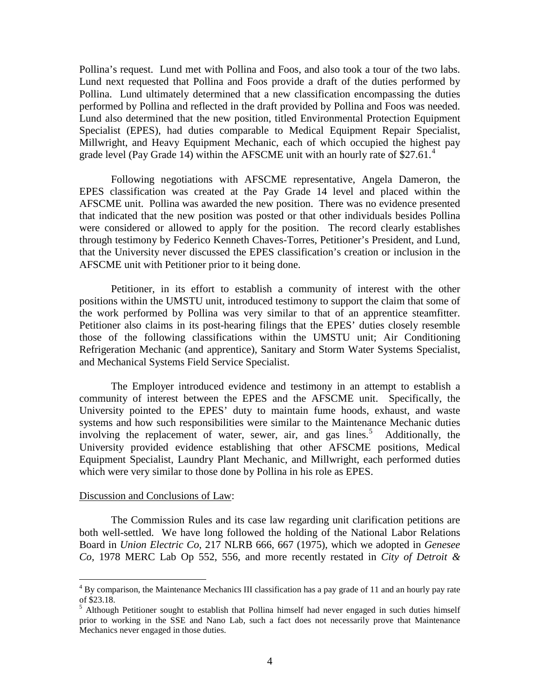Pollina's request. Lund met with Pollina and Foos, and also took a tour of the two labs. Lund next requested that Pollina and Foos provide a draft of the duties performed by Pollina. Lund ultimately determined that a new classification encompassing the duties performed by Pollina and reflected in the draft provided by Pollina and Foos was needed. Lund also determined that the new position, titled Environmental Protection Equipment Specialist (EPES), had duties comparable to Medical Equipment Repair Specialist, Millwright, and Heavy Equipment Mechanic, each of which occupied the highest pay grade level (Pay Grade 1[4](#page-3-0)) within the AFSCME unit with an hourly rate of \$27.61.<sup>4</sup>

Following negotiations with AFSCME representative, Angela Dameron, the EPES classification was created at the Pay Grade 14 level and placed within the AFSCME unit. Pollina was awarded the new position. There was no evidence presented that indicated that the new position was posted or that other individuals besides Pollina were considered or allowed to apply for the position. The record clearly establishes through testimony by Federico Kenneth Chaves-Torres, Petitioner's President, and Lund, that the University never discussed the EPES classification's creation or inclusion in the AFSCME unit with Petitioner prior to it being done.

Petitioner, in its effort to establish a community of interest with the other positions within the UMSTU unit, introduced testimony to support the claim that some of the work performed by Pollina was very similar to that of an apprentice steamfitter. Petitioner also claims in its post-hearing filings that the EPES' duties closely resemble those of the following classifications within the UMSTU unit; Air Conditioning Refrigeration Mechanic (and apprentice), Sanitary and Storm Water Systems Specialist, and Mechanical Systems Field Service Specialist.

The Employer introduced evidence and testimony in an attempt to establish a community of interest between the EPES and the AFSCME unit. Specifically, the University pointed to the EPES' duty to maintain fume hoods, exhaust, and waste systems and how such responsibilities were similar to the Maintenance Mechanic duties involving the replacement of water, sewer, air, and gas lines.<sup>[5](#page-3-1)</sup> Additionally, the University provided evidence establishing that other AFSCME positions, Medical Equipment Specialist, Laundry Plant Mechanic, and Millwright, each performed duties which were very similar to those done by Pollina in his role as EPES.

### Discussion and Conclusions of Law:

The Commission Rules and its case law regarding unit clarification petitions are both well-settled. We have long followed the holding of the National Labor Relations Board in *Union Electric Co*, 217 NLRB 666, 667 (1975), which we adopted in *Genesee Co,* 1978 MERC Lab Op 552, 556, and more recently restated in *City of Detroit &* 

<span id="page-3-0"></span><sup>&</sup>lt;sup>4</sup> By comparison, the Maintenance Mechanics III classification has a pay grade of 11 and an hourly pay rate of \$23.18.

<span id="page-3-1"></span><sup>&</sup>lt;sup>5</sup> Although Petitioner sought to establish that Pollina himself had never engaged in such duties himself prior to working in the SSE and Nano Lab, such a fact does not necessarily prove that Maintenance Mechanics never engaged in those duties.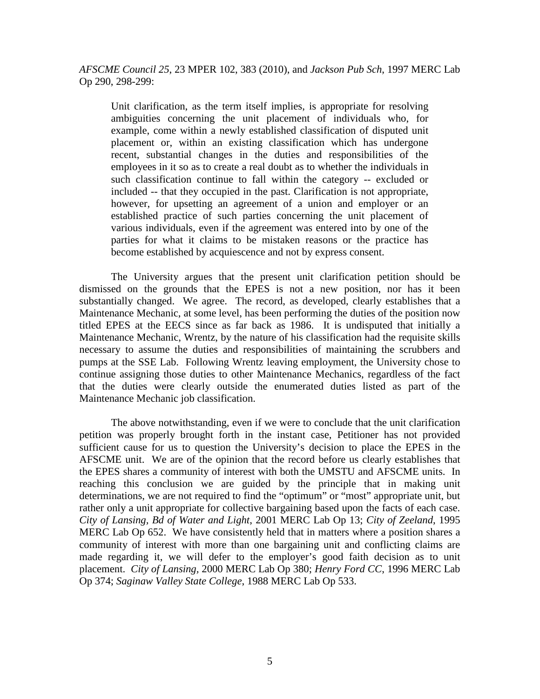*AFSCME Council 25*, 23 MPER 102, 383 (2010), and *Jackson Pub Sch*, 1997 MERC Lab Op 290, 298-299:

Unit clarification, as the term itself implies, is appropriate for resolving ambiguities concerning the unit placement of individuals who, for example, come within a newly established classification of disputed unit placement or, within an existing classification which has undergone recent, substantial changes in the duties and responsibilities of the employees in it so as to create a real doubt as to whether the individuals in such classification continue to fall within the category -- excluded or included -- that they occupied in the past. Clarification is not appropriate, however, for upsetting an agreement of a union and employer or an established practice of such parties concerning the unit placement of various individuals, even if the agreement was entered into by one of the parties for what it claims to be mistaken reasons or the practice has become established by acquiescence and not by express consent.

The University argues that the present unit clarification petition should be dismissed on the grounds that the EPES is not a new position, nor has it been substantially changed. We agree. The record, as developed, clearly establishes that a Maintenance Mechanic, at some level, has been performing the duties of the position now titled EPES at the EECS since as far back as 1986. It is undisputed that initially a Maintenance Mechanic, Wrentz, by the nature of his classification had the requisite skills necessary to assume the duties and responsibilities of maintaining the scrubbers and pumps at the SSE Lab. Following Wrentz leaving employment, the University chose to continue assigning those duties to other Maintenance Mechanics, regardless of the fact that the duties were clearly outside the enumerated duties listed as part of the Maintenance Mechanic job classification.

The above notwithstanding, even if we were to conclude that the unit clarification petition was properly brought forth in the instant case, Petitioner has not provided sufficient cause for us to question the University's decision to place the EPES in the AFSCME unit. We are of the opinion that the record before us clearly establishes that the EPES shares a community of interest with both the UMSTU and AFSCME units. In reaching this conclusion we are guided by the principle that in making unit determinations, we are not required to find the "optimum" or "most" appropriate unit, but rather only a unit appropriate for collective bargaining based upon the facts of each case. *City of Lansing, Bd of Water and Light*, 2001 MERC Lab Op 13; *City of Zeeland*, 1995 MERC Lab Op 652. We have consistently held that in matters where a position shares a community of interest with more than one bargaining unit and conflicting claims are made regarding it, we will defer to the employer's good faith decision as to unit placement. *City of Lansing,* 2000 MERC Lab Op 380; *Henry Ford CC*, 1996 MERC Lab Op 374; *Saginaw Valley State College*, 1988 MERC Lab Op 533.